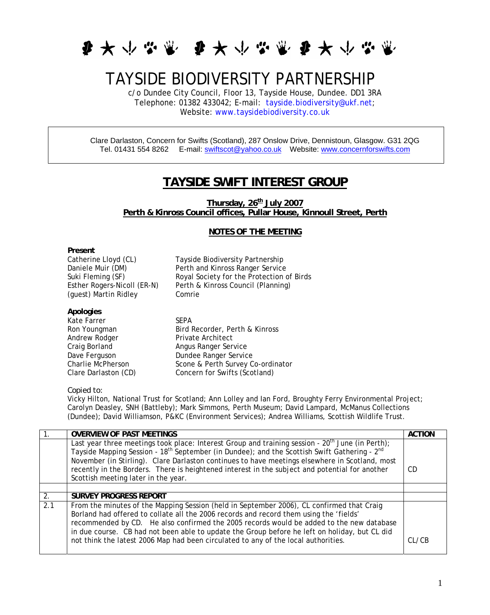

## TAYSIDE BIODIVERSITY PARTNERSHIP

c/o Dundee City Council, Floor 13, Tayside House, Dundee. DD1 3RA Telephone: 01382 433042; E-mail: [tayside.biodiversity@ukf.net;](mailto:tayside.biodiversity@ukf.net) Website: [www.taysidebiodiversity.co.uk](http://www.taysidebiodiversity.co.uk/)

Clare Darlaston, Concern for Swifts (Scotland), 287 Onslow Drive, Dennistoun, Glasgow. G31 2QG Tel. 01431 554 8262 E-mail: [swiftscot@yahoo.co.uk](mailto:swiftscot@yahoo.co.uk) Website: [www.concernforswifts.com](http://www.concernforswifts.com/) 

## **TAYSIDE SWIFT INTEREST GROUP**

Thursday, 26<sup>th</sup> July 2007 **Perth & Kinross Council offices, Pullar House, Kinnoull Street, Perth** 

## **NOTES OF THE MEETING**

| Present                     |                                           |
|-----------------------------|-------------------------------------------|
| Catherine Lloyd (CL)        | Tayside Biodiversity Partnership          |
| Daniele Muir (DM)           | Perth and Kinross Ranger Service          |
| Suki Fleming (SF)           | Royal Society for the Protection of Birds |
| Esther Rogers-Nicoll (ER-N) | Perth & Kinross Council (Planning)        |
| (quest) Martin Ridley       | Comrie                                    |
|                             |                                           |
| Apologies                   |                                           |
| Kate Farrer                 | SFPA                                      |

Kate Farrer Andrew Rodger Private Architect

Ron Youngman Bird Recorder, Perth & Kinross Craig Borland **Angus Ranger Service** Dave Ferguson Dundee Ranger Service<br>Charlie McPherson Scone & Perth Survey C Scone & Perth Survey Co-ordinator Clare Darlaston (CD) Concern for Swifts (Scotland)

## *Copied to:*

Vicky Hilton, National Trust for Scotland; Ann Lolley and Ian Ford, Broughty Ferry Environmental Project; Carolyn Deasley, SNH (Battleby); Mark Simmons, Perth Museum; David Lampard, McManus Collections (Dundee); David Williamson, P&KC (Environment Services); Andrea Williams, Scottish Wildlife Trust.

|     | <b>OVERVIEW OF PAST MEETINGS</b>                                                                                                                                                                                                                                                                                                                                                                                                                                       | <b>ACTION</b> |
|-----|------------------------------------------------------------------------------------------------------------------------------------------------------------------------------------------------------------------------------------------------------------------------------------------------------------------------------------------------------------------------------------------------------------------------------------------------------------------------|---------------|
|     | Last year three meetings took place: Interest Group and training session - $20th$ June (in Perth);<br>Tayside Mapping Session - 18 <sup>th</sup> September (in Dundee); and the Scottish Swift Gathering - 2 <sup>nd</sup><br>November (in Stirling). Clare Darlaston continues to have meetings elsewhere in Scotland, most<br>recently in the Borders. There is heightened interest in the subject and potential for another<br>Scottish meeting later in the year.  | CD            |
|     |                                                                                                                                                                                                                                                                                                                                                                                                                                                                        |               |
| 2.  | <b>SURVEY PROGRESS REPORT</b>                                                                                                                                                                                                                                                                                                                                                                                                                                          |               |
| 2.1 | From the minutes of the Mapping Session (held in September 2006), CL confirmed that Craig<br>Borland had offered to collate all the 2006 records and record them using the 'fields'<br>recommended by CD. He also confirmed the 2005 records would be added to the new database<br>in due course. CB had not been able to update the Group before he left on holiday, but CL did<br>not think the latest 2006 Map had been circulated to any of the local authorities. | CL/CB         |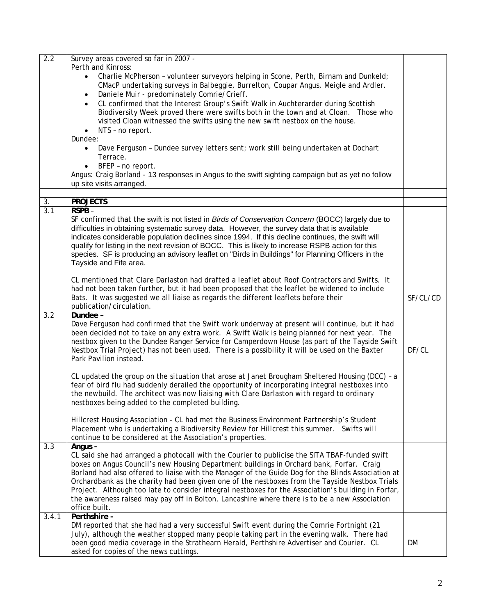| 2.2              | Survey areas covered so far in 2007 -                                                               |          |
|------------------|-----------------------------------------------------------------------------------------------------|----------|
|                  | Perth and Kinross:                                                                                  |          |
|                  | Charlie McPherson - volunteer surveyors helping in Scone, Perth, Birnam and Dunkeld;                |          |
|                  | CMacP undertaking surveys in Balbeggie, Burrelton, Coupar Angus, Meigle and Ardler.                 |          |
|                  | Daniele Muir - predominately Comrie/Crieff.                                                         |          |
|                  | CL confirmed that the Interest Group's Swift Walk in Auchterarder during Scottish                   |          |
|                  |                                                                                                     |          |
|                  | Biodiversity Week proved there were swifts both in the town and at Cloan. Those who                 |          |
|                  | visited Cloan witnessed the swifts using the new swift nestbox on the house.                        |          |
|                  | NTS - no report.                                                                                    |          |
|                  | Dundee:                                                                                             |          |
|                  | Dave Ferguson - Dundee survey letters sent; work still being undertaken at Dochart                  |          |
|                  | Terrace.                                                                                            |          |
|                  | BFEP - no report.                                                                                   |          |
|                  | Angus: Craig Borland - 13 responses in Angus to the swift sighting campaign but as yet no follow    |          |
|                  | up site visits arranged.                                                                            |          |
|                  |                                                                                                     |          |
| 3.               | <b>PROJECTS</b>                                                                                     |          |
| $\overline{3.1}$ | RSPB-                                                                                               |          |
|                  | SF confirmed that the swift is not listed in Birds of Conservation Concern (BOCC) largely due to    |          |
|                  | difficulties in obtaining systematic survey data. However, the survey data that is available        |          |
|                  | indicates considerable population declines since 1994. If this decline continues, the swift will    |          |
|                  | qualify for listing in the next revision of BOCC. This is likely to increase RSPB action for this   |          |
|                  | species. SF is producing an advisory leaflet on "Birds in Buildings" for Planning Officers in the   |          |
|                  | Tayside and Fife area.                                                                              |          |
|                  |                                                                                                     |          |
|                  | CL mentioned that Clare Darlaston had drafted a leaflet about Roof Contractors and Swifts. It       |          |
|                  | had not been taken further, but it had been proposed that the leaflet be widened to include         |          |
|                  | Bats. It was suggested we all liaise as regards the different leaflets before their                 | SF/CL/CD |
|                  | publication/circulation.                                                                            |          |
| $\overline{3.2}$ | Dundee -                                                                                            |          |
|                  | Dave Ferguson had confirmed that the Swift work underway at present will continue, but it had       |          |
|                  | been decided not to take on any extra work. A Swift Walk is being planned for next year. The        |          |
|                  | nestbox given to the Dundee Ranger Service for Camperdown House (as part of the Tayside Swift       |          |
|                  | Nestbox Trial Project) has not been used. There is a possibility it will be used on the Baxter      | DF/CL    |
|                  | Park Pavilion instead.                                                                              |          |
|                  |                                                                                                     |          |
|                  | CL updated the group on the situation that arose at Janet Brougham Sheltered Housing (DCC) - a      |          |
|                  | fear of bird flu had suddenly derailed the opportunity of incorporating integral nestboxes into     |          |
|                  | the newbuild. The architect was now liaising with Clare Darlaston with regard to ordinary           |          |
|                  | nestboxes being added to the completed building.                                                    |          |
|                  |                                                                                                     |          |
|                  | Hillcrest Housing Association - CL had met the Business Environment Partnership's Student           |          |
|                  | Placement who is undertaking a Biodiversity Review for Hillcrest this summer. Swifts will           |          |
|                  | continue to be considered at the Association's properties.                                          |          |
| 3.3              | Angus -                                                                                             |          |
|                  | CL said she had arranged a photocall with the Courier to publicise the SITA TBAF-funded swift       |          |
|                  | boxes on Angus Council's new Housing Department buildings in Orchard bank, Forfar. Craig            |          |
|                  | Borland had also offered to liaise with the Manager of the Guide Dog for the Blinds Association at  |          |
|                  | Orchardbank as the charity had been given one of the nestboxes from the Tayside Nestbox Trials      |          |
|                  | Project. Although too late to consider integral nestboxes for the Association's building in Forfar, |          |
|                  | the awareness raised may pay off in Bolton, Lancashire where there is to be a new Association       |          |
|                  | office built.                                                                                       |          |
| 3.4.1            | Perthshire -                                                                                        |          |
|                  | DM reported that she had had a very successful Swift event during the Comrie Fortnight (21          |          |
|                  | July), although the weather stopped many people taking part in the evening walk. There had          |          |
|                  | been good media coverage in the Strathearn Herald, Perthshire Advertiser and Courier. CL            | DM       |
|                  |                                                                                                     |          |
|                  | asked for copies of the news cuttings.                                                              |          |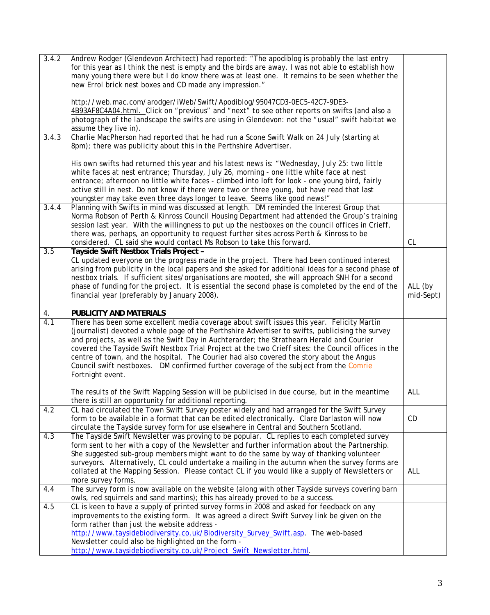| 3.4.2 | Andrew Rodger (Glendevon Architect) had reported: "The apodiblog is probably the last entry<br>for this year as I think the nest is empty and the birds are away. I was not able to establish how                                                                                                                                                                                                                                                                                                                                                                                                            |                      |  |
|-------|--------------------------------------------------------------------------------------------------------------------------------------------------------------------------------------------------------------------------------------------------------------------------------------------------------------------------------------------------------------------------------------------------------------------------------------------------------------------------------------------------------------------------------------------------------------------------------------------------------------|----------------------|--|
|       | many young there were but I do know there was at least one. It remains to be seen whether the<br>new Errol brick nest boxes and CD made any impression."                                                                                                                                                                                                                                                                                                                                                                                                                                                     |                      |  |
|       | http://web.mac.com/arodger/iWeb/Swift/Apodiblog/95047CD3-0EC5-42C7-9DE3-<br>4B93AF8C4A04.html. Click on "previous" and "next" to see other reports on swifts (and also a<br>photograph of the landscape the swifts are using in Glendevon: not the "usual" swift habitat we                                                                                                                                                                                                                                                                                                                                  |                      |  |
|       | assume they live in).                                                                                                                                                                                                                                                                                                                                                                                                                                                                                                                                                                                        |                      |  |
| 3.4.3 | Charlie MacPherson had reported that he had run a Scone Swift Walk on 24 July (starting at<br>8pm); there was publicity about this in the Perthshire Advertiser.                                                                                                                                                                                                                                                                                                                                                                                                                                             |                      |  |
|       | His own swifts had returned this year and his latest news is: "Wednesday, July 25: two little<br>white faces at nest entrance; Thursday, July 26, morning - one little white face at nest<br>entrance; afternoon no little white faces - climbed into loft for look - one young bird, fairly<br>active still in nest. Do not know if there were two or three young, but have read that last<br>youngster may take even three days longer to leave. Seems like good news!"                                                                                                                                    |                      |  |
| 3.4.4 | Planning with Swifts in mind was discussed at length. DM reminded the Interest Group that<br>Norma Robson of Perth & Kinross Council Housing Department had attended the Group's training<br>session last year. With the willingness to put up the nestboxes on the council offices in Crieff,<br>there was, perhaps, an opportunity to request further sites across Perth & Kinross to be<br>considered. CL said she would contact Ms Robson to take this forward.                                                                                                                                          | CL                   |  |
| 3.5   | Tayside Swift Nestbox Trials Project -<br>CL updated everyone on the progress made in the project. There had been continued interest<br>arising from publicity in the local papers and she asked for additional ideas for a second phase of<br>nestbox trials. If sufficient sites/organisations are mooted, she will approach SNH for a second<br>phase of funding for the project. It is essential the second phase is completed by the end of the<br>financial year (preferably by January 2008).                                                                                                         | ALL (by<br>mid-Sept) |  |
|       |                                                                                                                                                                                                                                                                                                                                                                                                                                                                                                                                                                                                              |                      |  |
| 4.    | <b>PUBLICITY AND MATERIALS</b>                                                                                                                                                                                                                                                                                                                                                                                                                                                                                                                                                                               |                      |  |
| 4.1   | There has been some excellent media coverage about swift issues this year. Felicity Martin<br>(journalist) devoted a whole page of the Perthshire Advertiser to swifts, publicising the survey<br>and projects, as well as the Swift Day in Auchterarder; the Strathearn Herald and Courier<br>covered the Tayside Swift Nestbox Trial Project at the two Crieff sites: the Council offices in the<br>centre of town, and the hospital. The Courier had also covered the story about the Angus<br>Council swift nestboxes.  DM confirmed further coverage of the subject from the Comrie<br>Fortnight event. |                      |  |
|       | The results of the Swift Mapping Session will be publicised in due course, but in the meantime<br>there is still an opportunity for additional reporting.                                                                                                                                                                                                                                                                                                                                                                                                                                                    | ALL                  |  |
| 4.2   | CL had circulated the Town Swift Survey poster widely and had arranged for the Swift Survey<br>form to be available in a format that can be edited electronically. Clare Darlaston will now<br>circulate the Tayside survey form for use elsewhere in Central and Southern Scotland.                                                                                                                                                                                                                                                                                                                         | CD                   |  |
| 4.3   | The Tayside Swift Newsletter was proving to be popular. CL replies to each completed survey<br>form sent to her with a copy of the Newsletter and further information about the Partnership.<br>She suggested sub-group members might want to do the same by way of thanking volunteer<br>surveyors. Alternatively, CL could undertake a mailing in the autumn when the survey forms are<br>collated at the Mapping Session. Please contact CL if you would like a supply of Newsletters or<br>more survey forms.                                                                                            | ALL                  |  |
| 4.4   | The survey form is now available on the website (along with other Tayside surveys covering barn<br>owls, red squirrels and sand martins); this has already proved to be a success.                                                                                                                                                                                                                                                                                                                                                                                                                           |                      |  |
| 4.5   | CL is keen to have a supply of printed survey forms in 2008 and asked for feedback on any<br>improvements to the existing form. It was agreed a direct Swift Survey link be given on the<br>form rather than just the website address -<br>http://www.taysidebiodiversity.co.uk/Biodiversity_Survey_Swift.asp. The web-based                                                                                                                                                                                                                                                                                 |                      |  |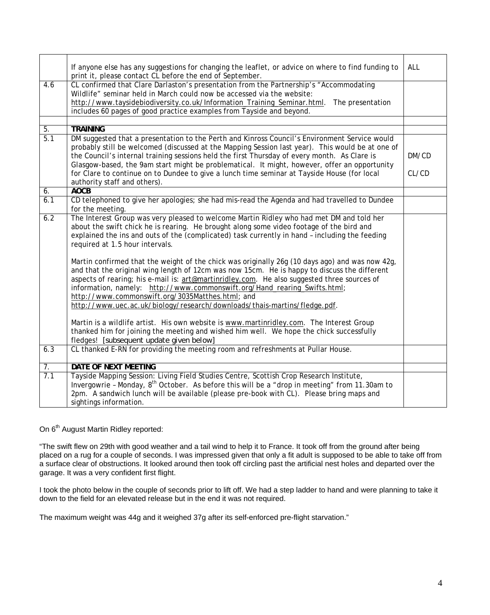|                  | If anyone else has any suggestions for changing the leaflet, or advice on where to find funding to<br>print it, please contact CL before the end of September.                                                                                                                                                                                                                                                                                                                                               | <b>ALL</b> |
|------------------|--------------------------------------------------------------------------------------------------------------------------------------------------------------------------------------------------------------------------------------------------------------------------------------------------------------------------------------------------------------------------------------------------------------------------------------------------------------------------------------------------------------|------------|
| 4.6              | CL confirmed that Clare Darlaston's presentation from the Partnership's "Accommodating<br>Wildlife" seminar held in March could now be accessed via the website:<br>http://www.taysidebiodiversity.co.uk/Information_Training_Seminar.html.<br>The presentation<br>includes 60 pages of good practice examples from Tayside and beyond.                                                                                                                                                                      |            |
|                  | <b>TRAINING</b>                                                                                                                                                                                                                                                                                                                                                                                                                                                                                              |            |
| 5.<br>5.1        | DM suggested that a presentation to the Perth and Kinross Council's Environment Service would                                                                                                                                                                                                                                                                                                                                                                                                                |            |
|                  | probably still be welcomed (discussed at the Mapping Session last year). This would be at one of<br>the Council's internal training sessions held the first Thursday of every month. As Clare is                                                                                                                                                                                                                                                                                                             | DM/CD      |
|                  | Glasgow-based, the 9am start might be problematical. It might, however, offer an opportunity<br>for Clare to continue on to Dundee to give a lunch time seminar at Tayside House (for local<br>authority staff and others).                                                                                                                                                                                                                                                                                  | CL/CD      |
| 6.               | <b>AOCB</b>                                                                                                                                                                                                                                                                                                                                                                                                                                                                                                  |            |
| $\overline{6.1}$ | CD telephoned to give her apologies; she had mis-read the Agenda and had travelled to Dundee<br>for the meeting.                                                                                                                                                                                                                                                                                                                                                                                             |            |
| 6.2              | The Interest Group was very pleased to welcome Martin Ridley who had met DM and told her<br>about the swift chick he is rearing. He brought along some video footage of the bird and<br>explained the ins and outs of the (complicated) task currently in hand - including the feeding<br>required at 1.5 hour intervals.                                                                                                                                                                                    |            |
|                  | Martin confirmed that the weight of the chick was originally 26g (10 days ago) and was now 42g,<br>and that the original wing length of 12cm was now 15cm. He is happy to discuss the different<br>aspects of rearing; his e-mail is: art@martinridley.com. He also suggested three sources of<br>information, namely: http://www.commonswift.org/Hand_rearing_Swifts.html;<br>http://www.commonswift.org/3035Matthes.html; and<br>http://www.uec.ac.uk/biology/research/downloads/thais-martins/fledge.pdf. |            |
|                  | Martin is a wildlife artist. His own website is www.martinridley.com. The Interest Group<br>thanked him for joining the meeting and wished him well. We hope the chick successfully<br>fledges! [subsequent update given below]                                                                                                                                                                                                                                                                              |            |
| 6.3              | CL thanked E-RN for providing the meeting room and refreshments at Pullar House.                                                                                                                                                                                                                                                                                                                                                                                                                             |            |
| $\overline{7}$ . | DATE OF NEXT MEETING                                                                                                                                                                                                                                                                                                                                                                                                                                                                                         |            |
| 7.1              | Tayside Mapping Session: Living Field Studies Centre, Scottish Crop Research Institute,<br>Invergowrie - Monday, 8 <sup>th</sup> October. As before this will be a "drop in meeting" from 11.30am to<br>2pm. A sandwich lunch will be available (please pre-book with CL). Please bring maps and<br>sightings information.                                                                                                                                                                                   |            |

On 6<sup>th</sup> August Martin Ridley reported:

"The swift flew on 29th with good weather and a tail wind to help it to France. It took off from the ground after being placed on a rug for a couple of seconds. I was impressed given that only a fit adult is supposed to be able to take off from a surface clear of obstructions. It looked around then took off circling past the artificial nest holes and departed over the garage. It was a very confident first flight.

I took the photo below in the couple of seconds prior to lift off. We had a step ladder to hand and were planning to take it down to the field for an elevated release but in the end it was not required.

The maximum weight was 44g and it weighed 37g after its self-enforced pre-flight starvation."